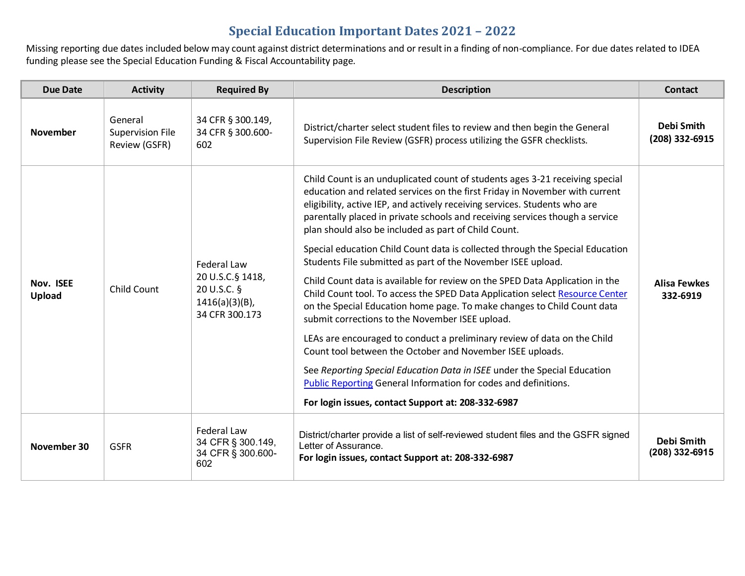Missing reporting due dates included below may count against district determinations and or result in a finding of non-compliance. For due dates related to IDEA funding please see the Special Education Funding & Fiscal Accountability page.

| <b>Due Date</b>     | <b>Activity</b>                                     | <b>Required By</b>                                                                           | <b>Description</b>                                                                                                                                                                                                                                                                                                                                                                                                                                                                                                                                                                                                                                                                                                                                                                                                                                                                                                                                                                                                                                                                                                                                                             | <b>Contact</b>                      |
|---------------------|-----------------------------------------------------|----------------------------------------------------------------------------------------------|--------------------------------------------------------------------------------------------------------------------------------------------------------------------------------------------------------------------------------------------------------------------------------------------------------------------------------------------------------------------------------------------------------------------------------------------------------------------------------------------------------------------------------------------------------------------------------------------------------------------------------------------------------------------------------------------------------------------------------------------------------------------------------------------------------------------------------------------------------------------------------------------------------------------------------------------------------------------------------------------------------------------------------------------------------------------------------------------------------------------------------------------------------------------------------|-------------------------------------|
| <b>November</b>     | General<br><b>Supervision File</b><br>Review (GSFR) | 34 CFR § 300.149,<br>34 CFR § 300.600-<br>602                                                | District/charter select student files to review and then begin the General<br>Supervision File Review (GSFR) process utilizing the GSFR checklists.                                                                                                                                                                                                                                                                                                                                                                                                                                                                                                                                                                                                                                                                                                                                                                                                                                                                                                                                                                                                                            | <b>Debi Smith</b><br>(208) 332-6915 |
| Nov. ISEE<br>Upload | Child Count                                         | <b>Federal Law</b><br>20 U.S.C.§ 1418,<br>20 U.S.C. §<br>$1416(a)(3)(B)$ ,<br>34 CFR 300.173 | Child Count is an unduplicated count of students ages 3-21 receiving special<br>education and related services on the first Friday in November with current<br>eligibility, active IEP, and actively receiving services. Students who are<br>parentally placed in private schools and receiving services though a service<br>plan should also be included as part of Child Count.<br>Special education Child Count data is collected through the Special Education<br>Students File submitted as part of the November ISEE upload.<br>Child Count data is available for review on the SPED Data Application in the<br>Child Count tool. To access the SPED Data Application select Resource Center<br>on the Special Education home page. To make changes to Child Count data<br>submit corrections to the November ISEE upload.<br>LEAs are encouraged to conduct a preliminary review of data on the Child<br>Count tool between the October and November ISEE uploads.<br>See Reporting Special Education Data in ISEE under the Special Education<br>Public Reporting General Information for codes and definitions.<br>For login issues, contact Support at: 208-332-6987 | <b>Alisa Fewkes</b><br>332-6919     |
| November 30         | <b>GSFR</b>                                         | <b>Federal Law</b><br>34 CFR § 300.149,<br>34 CFR § 300.600-<br>602                          | District/charter provide a list of self-reviewed student files and the GSFR signed<br>Letter of Assurance.<br>For login issues, contact Support at: 208-332-6987                                                                                                                                                                                                                                                                                                                                                                                                                                                                                                                                                                                                                                                                                                                                                                                                                                                                                                                                                                                                               | Debi Smith<br>(208) 332-6915        |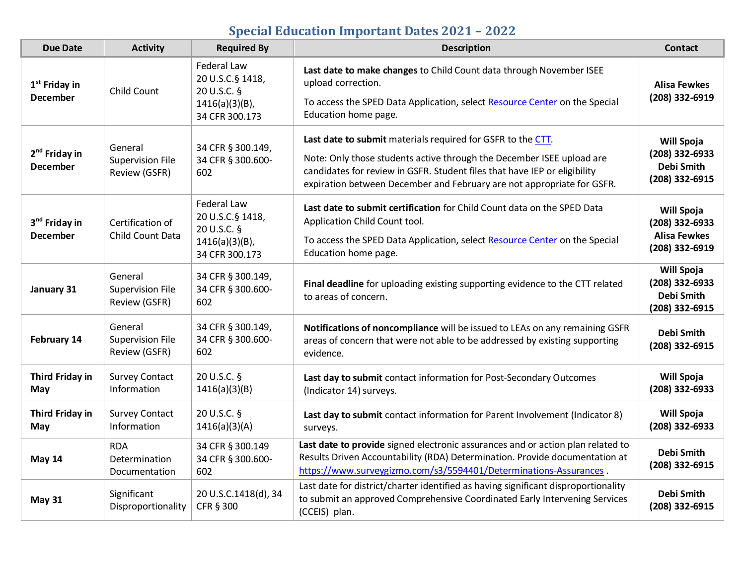| <b>Due Date</b>                              | <b>Activity</b>                                     | <b>Required By</b>                                                                           | <b>Description</b>                                                                                                                                                                                                                                                                          | <b>Contact</b>                                                        |
|----------------------------------------------|-----------------------------------------------------|----------------------------------------------------------------------------------------------|---------------------------------------------------------------------------------------------------------------------------------------------------------------------------------------------------------------------------------------------------------------------------------------------|-----------------------------------------------------------------------|
| 1 <sup>st</sup> Friday in<br><b>December</b> | <b>Child Count</b>                                  | <b>Federal Law</b><br>20 U.S.C.§ 1418,<br>20 U.S.C. §<br>$1416(a)(3)(B)$ ,<br>34 CFR 300.173 | Last date to make changes to Child Count data through November ISEE<br>upload correction.<br>To access the SPED Data Application, select Resource Center on the Special<br>Education home page.                                                                                             | <b>Alisa Fewkes</b><br>(208) 332-6919                                 |
| 2 <sup>nd</sup> Friday in<br><b>December</b> | General<br>Supervision File<br>Review (GSFR)        | 34 CFR § 300.149,<br>34 CFR § 300.600-<br>602                                                | Last date to submit materials required for GSFR to the CTT.<br>Note: Only those students active through the December ISEE upload are<br>candidates for review in GSFR. Student files that have IEP or eligibility<br>expiration between December and February are not appropriate for GSFR. | <b>Will Spoja</b><br>(208) 332-6933<br>Debi Smith<br>(208) 332-6915   |
| 3 <sup>nd</sup> Friday in<br><b>December</b> | Certification of<br>Child Count Data                | <b>Federal Law</b><br>20 U.S.C.§ 1418,<br>20 U.S.C. §<br>$1416(a)(3)(B)$ ,<br>34 CFR 300.173 | Last date to submit certification for Child Count data on the SPED Data<br>Application Child Count tool.<br>To access the SPED Data Application, select Resource Center on the Special<br>Education home page.                                                                              | Will Spoja<br>(208) 332-6933<br><b>Alisa Fewkes</b><br>(208) 332-6919 |
| January 31                                   | General<br>Supervision File<br>Review (GSFR)        | 34 CFR § 300.149,<br>34 CFR § 300.600-<br>602                                                | Final deadline for uploading existing supporting evidence to the CTT related<br>to areas of concern.                                                                                                                                                                                        | Will Spoja<br>(208) 332-6933<br>Debi Smith<br>(208) 332-6915          |
| February 14                                  | General<br><b>Supervision File</b><br>Review (GSFR) | 34 CFR § 300.149,<br>34 CFR § 300.600-<br>602                                                | Notifications of noncompliance will be issued to LEAs on any remaining GSFR<br>areas of concern that were not able to be addressed by existing supporting<br>evidence.                                                                                                                      | <b>Debi Smith</b><br>(208) 332-6915                                   |
| <b>Third Friday in</b><br>May                | <b>Survey Contact</b><br>Information                | 20 U.S.C. §<br>1416(a)(3)(B)                                                                 | Last day to submit contact information for Post-Secondary Outcomes<br>(Indicator 14) surveys.                                                                                                                                                                                               | <b>Will Spoja</b><br>(208) 332-6933                                   |
| <b>Third Friday in</b><br>May                | <b>Survey Contact</b><br>Information                | 20 U.S.C. §<br>1416(a)(3)(A)                                                                 | Last day to submit contact information for Parent Involvement (Indicator 8)<br>surveys.                                                                                                                                                                                                     | Will Spoja<br>$(208)$ 332-6933                                        |
| May 14                                       | <b>RDA</b><br>Determination<br>Documentation        | 34 CFR § 300.149<br>34 CFR § 300.600-<br>602                                                 | Last date to provide signed electronic assurances and or action plan related to<br>Results Driven Accountability (RDA) Determination. Provide documentation at<br>https://www.surveygizmo.com/s3/5594401/Determinations-Assurances.                                                         | <b>Debi Smith</b><br>(208) 332-6915                                   |
| <b>May 31</b>                                | Significant<br>Disproportionality                   | 20 U.S.C.1418(d), 34<br>CFR § 300                                                            | Last date for district/charter identified as having significant disproportionality<br>to submit an approved Comprehensive Coordinated Early Intervening Services<br>(CCEIS) plan.                                                                                                           | <b>Debi Smith</b><br>(208) 332-6915                                   |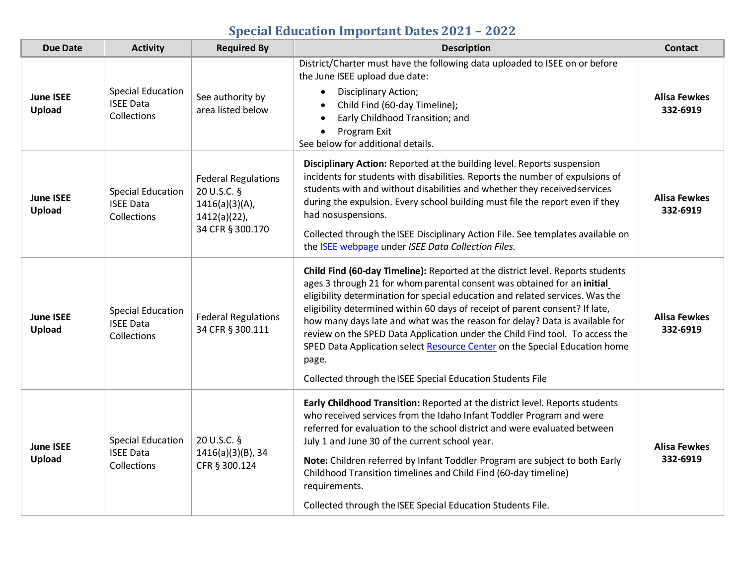| <b>Due Date</b>                   | <b>Activity</b>                                             | <b>Required By</b>                                                                                    | <b>Description</b>                                                                                                                                                                                                                                                                                                                                                                                                                                                                                                                                                                                                                             | <b>Contact</b>                  |
|-----------------------------------|-------------------------------------------------------------|-------------------------------------------------------------------------------------------------------|------------------------------------------------------------------------------------------------------------------------------------------------------------------------------------------------------------------------------------------------------------------------------------------------------------------------------------------------------------------------------------------------------------------------------------------------------------------------------------------------------------------------------------------------------------------------------------------------------------------------------------------------|---------------------------------|
| <b>June ISEE</b><br>Upload        | <b>Special Education</b><br><b>ISEE Data</b><br>Collections | See authority by<br>area listed below                                                                 | District/Charter must have the following data uploaded to ISEE on or before<br>the June ISEE upload due date:<br>Disciplinary Action;<br>Child Find (60-day Timeline);<br>Early Childhood Transition; and<br>Program Exit<br>$\bullet$<br>See below for additional details.                                                                                                                                                                                                                                                                                                                                                                    | Alisa Fewkes<br>332-6919        |
| <b>June ISEE</b><br><b>Upload</b> | <b>Special Education</b><br><b>ISEE Data</b><br>Collections | <b>Federal Regulations</b><br>20 U.S.C. §<br>$1416(a)(3)(A)$ ,<br>$1412(a)(22)$ ,<br>34 CFR § 300.170 | Disciplinary Action: Reported at the building level. Reports suspension<br>incidents for students with disabilities. Reports the number of expulsions of<br>students with and without disabilities and whether they received services<br>during the expulsion. Every school building must file the report even if they<br>had nosuspensions.<br>Collected through the ISEE Disciplinary Action File. See templates available on<br>the ISEE webpage under ISEE Data Collection Files.                                                                                                                                                          | Alisa Fewkes<br>332-6919        |
| <b>June ISEE</b><br>Upload        | <b>Special Education</b><br><b>ISEE Data</b><br>Collections | <b>Federal Regulations</b><br>34 CFR § 300.111                                                        | Child Find (60-day Timeline): Reported at the district level. Reports students<br>ages 3 through 21 for whom parental consent was obtained for an initial<br>eligibility determination for special education and related services. Was the<br>eligibility determined within 60 days of receipt of parent consent? If late,<br>how many days late and what was the reason for delay? Data is available for<br>review on the SPED Data Application under the Child Find tool. To access the<br>SPED Data Application select Resource Center on the Special Education home<br>page.<br>Collected through the ISEE Special Education Students File | <b>Alisa Fewkes</b><br>332-6919 |
| <b>June ISEE</b><br><b>Upload</b> | <b>Special Education</b><br><b>ISEE Data</b><br>Collections | 20 U.S.C. §<br>1416(a)(3)(B), 34<br>CFR § 300.124                                                     | Early Childhood Transition: Reported at the district level. Reports students<br>who received services from the Idaho Infant Toddler Program and were<br>referred for evaluation to the school district and were evaluated between<br>July 1 and June 30 of the current school year.<br>Note: Children referred by Infant Toddler Program are subject to both Early<br>Childhood Transition timelines and Child Find (60-day timeline)<br>requirements.<br>Collected through the ISEE Special Education Students File.                                                                                                                          | Alisa Fewkes<br>332-6919        |